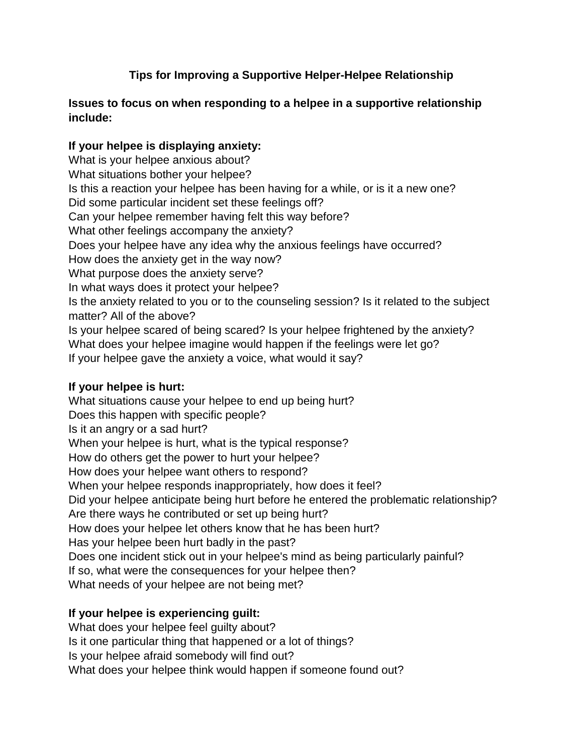# **Tips for Improving a Supportive Helper-Helpee Relationship**

#### **Issues to focus on when responding to a helpee in a supportive relationship include:**

### **If your helpee is displaying anxiety:**

What is your helpee anxious about? What situations bother your helpee? Is this a reaction your helpee has been having for a while, or is it a new one? Did some particular incident set these feelings off? Can your helpee remember having felt this way before? What other feelings accompany the anxiety? Does your helpee have any idea why the anxious feelings have occurred? How does the anxiety get in the way now? What purpose does the anxiety serve? In what ways does it protect your helpee? Is the anxiety related to you or to the counseling session? Is it related to the subject matter? All of the above? Is your helpee scared of being scared? Is your helpee frightened by the anxiety? What does your helpee imagine would happen if the feelings were let go? If your helpee gave the anxiety a voice, what would it say?

### **If your helpee is hurt:**

What situations cause your helpee to end up being hurt? Does this happen with specific people? Is it an angry or a sad hurt? When your helpee is hurt, what is the typical response? How do others get the power to hurt your helpee? How does your helpee want others to respond? When your helpee responds inappropriately, how does it feel? Did your helpee anticipate being hurt before he entered the problematic relationship? Are there ways he contributed or set up being hurt? How does your helpee let others know that he has been hurt? Has your helpee been hurt badly in the past? Does one incident stick out in your helpee's mind as being particularly painful? If so, what were the consequences for your helpee then? What needs of your helpee are not being met?

# **If your helpee is experiencing guilt:**

What does your helpee feel guilty about? Is it one particular thing that happened or a lot of things? Is your helpee afraid somebody will find out? What does your helpee think would happen if someone found out?